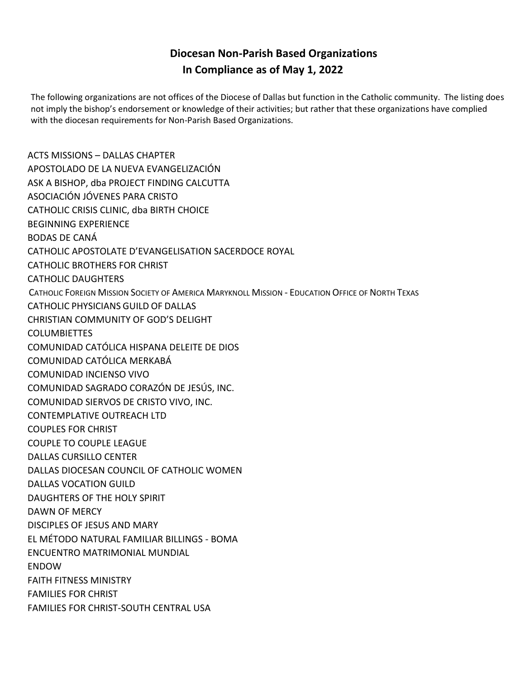## **Diocesan Non-Parish Based Organizations In Compliance as of May 1, 2022**

The following organizations are not offices of the Diocese of Dallas but function in the Catholic community. The listing does not imply the bishop's endorsement or knowledge of their activities; but rather that these organizations have complied with the diocesan requirements for Non-Parish Based Organizations.

ACTS MISSIONS – DALLAS CHAPTER APOSTOLADO DE LA NUEVA EVANGELIZACIÓN ASK A BISHOP, dba PROJECT FINDING CALCUTTA ASOCIACIÓN JÓVENES PARA CRISTO CATHOLIC CRISIS CLINIC, dba BIRTH CHOICE BEGINNING EXPERIENCE BODAS DE CANÁ CATHOLIC APOSTOLATE D'EVANGELISATION SACERDOCE ROYAL CATHOLIC BROTHERS FOR CHRIST CATHOLIC DAUGHTERS CATHOLIC FOREIGN MISSION SOCIETY OF AMERICA MARYKNOLL MISSION - EDUCATION OFFICE OF NORTH TEXAS CATHOLIC PHYSICIANS GUILD OF DALLAS CHRISTIAN COMMUNITY OF GOD'S DELIGHT **COLUMBIETTES** COMUNIDAD CATÓLICA HISPANA DELEITE DE DIOS COMUNIDAD CATÓLICA MERKABÁ COMUNIDAD INCIENSO VIVO COMUNIDAD SAGRADO CORAZÓN DE JESÚS, INC. COMUNIDAD SIERVOS DE CRISTO VIVO, INC. CONTEMPLATIVE OUTREACH LTD COUPLES FOR CHRIST COUPLE TO COUPLE LEAGUE DALLAS CURSILLO CENTER DALLAS DIOCESAN COUNCIL OF CATHOLIC WOMEN DALLAS VOCATION GUILD DAUGHTERS OF THE HOLY SPIRIT DAWN OF MERCY DISCIPLES OF JESUS AND MARY EL MÉTODO NATURAL FAMILIAR BILLINGS - BOMA ENCUENTRO MATRIMONIAL MUNDIAL ENDOW FAITH FITNESS MINISTRY FAMILIES FOR CHRIST FAMILIES FOR CHRIST-SOUTH CENTRAL USA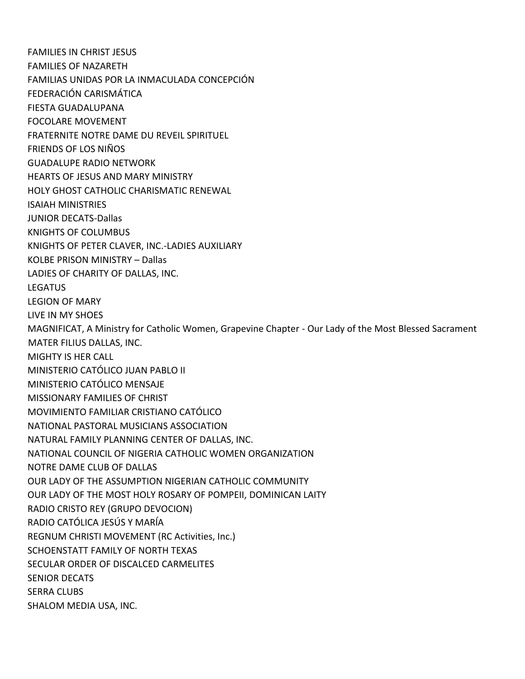FAMILIES IN CHRIST JESUS FAMILIES OF NAZARETH FAMILIAS UNIDAS POR LA INMACULADA CONCEPCIÓN FEDERACIÓN CARISMÁTICA FIESTA GUADALUPANA FOCOLARE MOVEMENT FRATERNITE NOTRE DAME DU REVEIL SPIRITUEL FRIENDS OF LOS NIÑOS GUADALUPE RADIO NETWORK HEARTS OF JESUS AND MARY MINISTRY HOLY GHOST CATHOLIC CHARISMATIC RENEWAL ISAIAH MINISTRIES JUNIOR DECATS-Dallas KNIGHTS OF COLUMBUS KNIGHTS OF PETER CLAVER, INC.-LADIES AUXILIARY KOLBE PRISON MINISTRY – Dallas LADIES OF CHARITY OF DALLAS, INC. LEGATUS LEGION OF MARY LIVE IN MY SHOES MAGNIFICAT, A Ministry for Catholic Women, Grapevine Chapter - Our Lady of the Most Blessed Sacrament MATER FILIUS DALLAS, INC. MIGHTY IS HER CALL MINISTERIO CATÓLICO JUAN PABLO II MINISTERIO CATÓLICO MENSAJE MISSIONARY FAMILIES OF CHRIST MOVIMIENTO FAMILIAR CRISTIANO CATÓLICO NATIONAL PASTORAL MUSICIANS ASSOCIATION NATURAL FAMILY PLANNING CENTER OF DALLAS, INC. NATIONAL COUNCIL OF NIGERIA CATHOLIC WOMEN ORGANIZATION NOTRE DAME CLUB OF DALLAS OUR LADY OF THE ASSUMPTION NIGERIAN CATHOLIC COMMUNITY OUR LADY OF THE MOST HOLY ROSARY OF POMPEII, DOMINICAN LAITY RADIO CRISTO REY (GRUPO DEVOCION) RADIO CATÓLICA JESÚS Y MARĺA REGNUM CHRISTI MOVEMENT (RC Activities, Inc.) SCHOENSTATT FAMILY OF NORTH TEXAS SECULAR ORDER OF DISCALCED CARMELITES SENIOR DECATS SERRA CLUBS SHALOM MEDIA USA, INC.